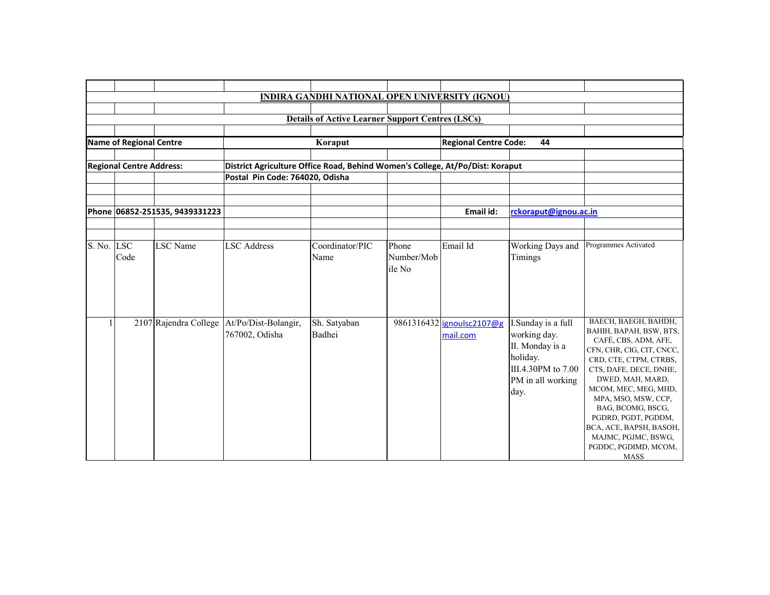|            |                                 |                                |                                                                               | <b>INDIRA GANDHI NATIONAL OPEN UNIVERSITY (IGNOU)</b>   |                               |                              |                                                                                                |                                                                                                                                                                                                                                                                                                                                          |
|------------|---------------------------------|--------------------------------|-------------------------------------------------------------------------------|---------------------------------------------------------|-------------------------------|------------------------------|------------------------------------------------------------------------------------------------|------------------------------------------------------------------------------------------------------------------------------------------------------------------------------------------------------------------------------------------------------------------------------------------------------------------------------------------|
|            |                                 |                                |                                                                               |                                                         |                               |                              |                                                                                                |                                                                                                                                                                                                                                                                                                                                          |
|            |                                 |                                |                                                                               | <b>Details of Active Learner Support Centres (LSCs)</b> |                               |                              |                                                                                                |                                                                                                                                                                                                                                                                                                                                          |
|            |                                 |                                |                                                                               |                                                         |                               |                              |                                                                                                |                                                                                                                                                                                                                                                                                                                                          |
|            | Name of Regional Centre         |                                |                                                                               | Koraput                                                 |                               | <b>Regional Centre Code:</b> | 44                                                                                             |                                                                                                                                                                                                                                                                                                                                          |
|            |                                 |                                |                                                                               |                                                         |                               |                              |                                                                                                |                                                                                                                                                                                                                                                                                                                                          |
|            | <b>Regional Centre Address:</b> |                                | District Agriculture Office Road, Behind Women's College, At/Po/Dist: Koraput |                                                         |                               |                              |                                                                                                |                                                                                                                                                                                                                                                                                                                                          |
|            |                                 |                                | Postal Pin Code: 764020, Odisha                                               |                                                         |                               |                              |                                                                                                |                                                                                                                                                                                                                                                                                                                                          |
|            |                                 |                                |                                                                               |                                                         |                               |                              |                                                                                                |                                                                                                                                                                                                                                                                                                                                          |
|            |                                 |                                |                                                                               |                                                         |                               |                              |                                                                                                |                                                                                                                                                                                                                                                                                                                                          |
|            |                                 | Phone 06852-251535, 9439331223 |                                                                               |                                                         |                               | Email id:                    | rckoraput@ignou.ac.in                                                                          |                                                                                                                                                                                                                                                                                                                                          |
|            |                                 |                                |                                                                               |                                                         |                               |                              |                                                                                                |                                                                                                                                                                                                                                                                                                                                          |
|            |                                 |                                |                                                                               |                                                         |                               |                              |                                                                                                |                                                                                                                                                                                                                                                                                                                                          |
| S. No. LSC | Code                            | <b>LSC</b> Name                | <b>LSC</b> Address                                                            | Coordinator/PIC<br>Name                                 | Phone<br>Number/Mob<br>ile No | Email Id                     | Working Days and<br>Timings                                                                    | Programmes Activated                                                                                                                                                                                                                                                                                                                     |
|            |                                 |                                | 2107 Rajendra College   At/Po/Dist-Bolangir,                                  |                                                         |                               | 9861316432 ignoulsc2107@g    | I.Sunday is a full                                                                             | BAECH, BAEGH, BAHDH,                                                                                                                                                                                                                                                                                                                     |
|            |                                 |                                | 767002, Odisha                                                                | Sh. Satyaban<br>Badhei                                  |                               | mail.com                     | working day.<br>II. Monday is a<br>holiday.<br>III.4.30PM to 7.00<br>PM in all working<br>day. | BAHIH, BAPAH, BSW, BTS,<br>CAFÉ, CBS, ADM, AFE,<br>CFN, CHR, CIG, CIT, CNCC,<br>CRD, CTE, CTPM, CTRBS,<br>CTS, DAFE, DECE, DNHE,<br>DWED, MAH, MARD,<br>MCOM, MEC, MEG, MHD,<br>MPA, MSO, MSW, CCP,<br>BAG, BCOMG, BSCG,<br>PGDRD, PGDT, PGDDM,<br>BCA, ACE, BAPSH, BASOH,<br>MAJMC, PGJMC, BSWG,<br>PGDDC, PGDIMD, MCOM,<br><b>MASS</b> |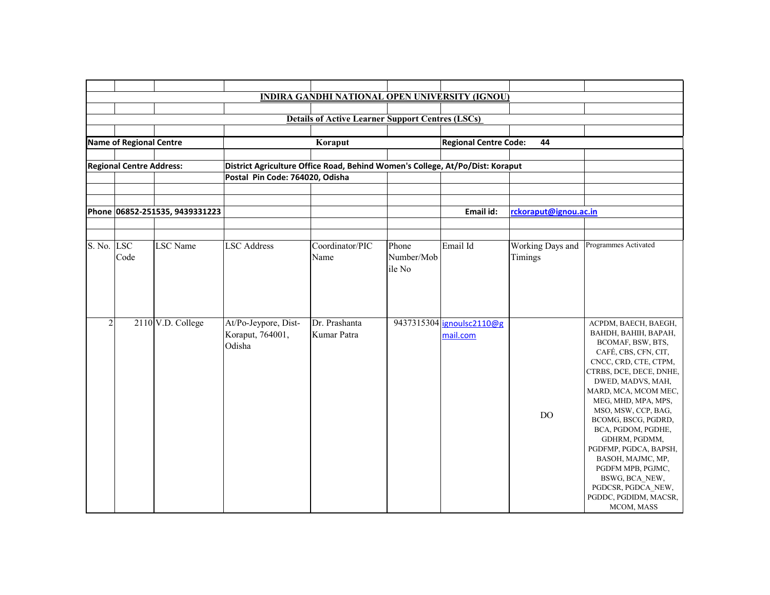|                |                                 |                                |                                                                               | <b>INDIRA GANDHI NATIONAL OPEN UNIVERSITY (IGNOU)</b>   |                     |                                       |                             |                                                                                                                                                                                                                                                                                                                                                                                                                                                          |
|----------------|---------------------------------|--------------------------------|-------------------------------------------------------------------------------|---------------------------------------------------------|---------------------|---------------------------------------|-----------------------------|----------------------------------------------------------------------------------------------------------------------------------------------------------------------------------------------------------------------------------------------------------------------------------------------------------------------------------------------------------------------------------------------------------------------------------------------------------|
|                |                                 |                                |                                                                               |                                                         |                     |                                       |                             |                                                                                                                                                                                                                                                                                                                                                                                                                                                          |
|                |                                 |                                |                                                                               | <b>Details of Active Learner Support Centres (LSCs)</b> |                     |                                       |                             |                                                                                                                                                                                                                                                                                                                                                                                                                                                          |
|                |                                 |                                |                                                                               |                                                         |                     |                                       |                             |                                                                                                                                                                                                                                                                                                                                                                                                                                                          |
|                | <b>Name of Regional Centre</b>  |                                |                                                                               | Koraput                                                 |                     | <b>Regional Centre Code:</b>          | 44                          |                                                                                                                                                                                                                                                                                                                                                                                                                                                          |
|                | <b>Regional Centre Address:</b> |                                | District Agriculture Office Road, Behind Women's College, At/Po/Dist: Koraput |                                                         |                     |                                       |                             |                                                                                                                                                                                                                                                                                                                                                                                                                                                          |
|                |                                 |                                | Postal Pin Code: 764020, Odisha                                               |                                                         |                     |                                       |                             |                                                                                                                                                                                                                                                                                                                                                                                                                                                          |
|                |                                 |                                |                                                                               |                                                         |                     |                                       |                             |                                                                                                                                                                                                                                                                                                                                                                                                                                                          |
|                |                                 |                                |                                                                               |                                                         |                     |                                       |                             |                                                                                                                                                                                                                                                                                                                                                                                                                                                          |
|                |                                 | Phone 06852-251535, 9439331223 |                                                                               |                                                         |                     | Email id:                             | rckoraput@ignou.ac.in       |                                                                                                                                                                                                                                                                                                                                                                                                                                                          |
|                |                                 |                                |                                                                               |                                                         |                     |                                       |                             |                                                                                                                                                                                                                                                                                                                                                                                                                                                          |
| S. No. LSC     | Code                            | <b>LSC</b> Name                | <b>LSC</b> Address                                                            | Coordinator/PIC<br>Name                                 | Phone<br>Number/Mob | Email Id                              | Working Days and<br>Timings | Programmes Activated                                                                                                                                                                                                                                                                                                                                                                                                                                     |
|                |                                 |                                |                                                                               |                                                         | ile No              |                                       |                             |                                                                                                                                                                                                                                                                                                                                                                                                                                                          |
| $\overline{2}$ |                                 | 2110 V.D. College              | At/Po-Jeypore, Dist-<br>Koraput, 764001,<br>Odisha                            | Dr. Prashanta<br>Kumar Patra                            |                     | 9437315304 jgnoulsc2110@g<br>mail.com | DO.                         | ACPDM, BAECH, BAEGH,<br>BAHDH, BAHIH, BAPAH,<br>BCOMAF, BSW, BTS,<br>CAFÉ, CBS, CFN, CIT,<br>CNCC, CRD, CTE, CTPM,<br>CTRBS, DCE, DECE, DNHE,<br>DWED, MADVS, MAH,<br>MARD, MCA, MCOM MEC,<br>MEG, MHD, MPA, MPS,<br>MSO, MSW, CCP, BAG,<br>BCOMG, BSCG, PGDRD,<br>BCA, PGDOM, PGDHE,<br>GDHRM, PGDMM,<br>PGDFMP, PGDCA, BAPSH,<br>BASOH, MAJMC, MP,<br>PGDFM MPB, PGJMC,<br>BSWG, BCA NEW,<br>PGDCSR, PGDCA_NEW,<br>PGDDC, PGDIDM, MACSR,<br>MCOM, MASS |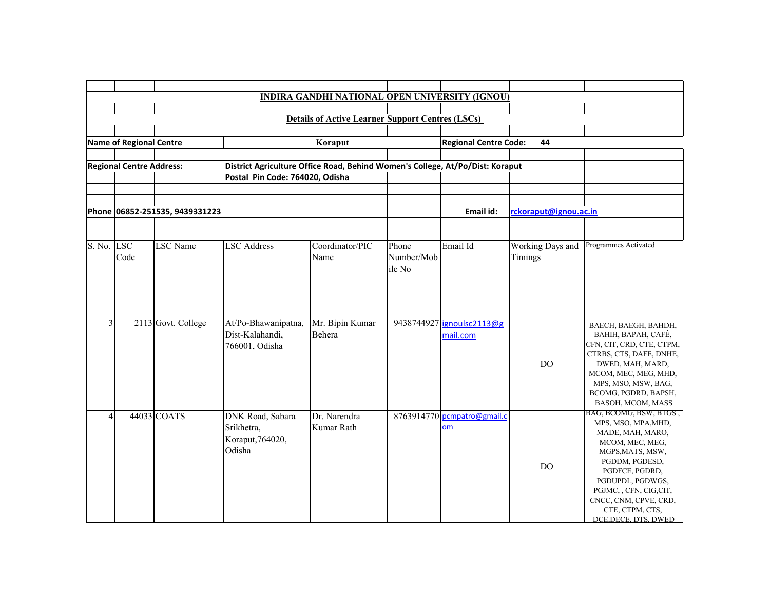|                          |                                 |                                |                                                                                                                  | <b>INDIRA GANDHI NATIONAL OPEN UNIVERSITY (IGNOU)</b>   |                               |                                   |                             |                                                                                                                                                                                                                                                                |
|--------------------------|---------------------------------|--------------------------------|------------------------------------------------------------------------------------------------------------------|---------------------------------------------------------|-------------------------------|-----------------------------------|-----------------------------|----------------------------------------------------------------------------------------------------------------------------------------------------------------------------------------------------------------------------------------------------------------|
|                          |                                 |                                |                                                                                                                  |                                                         |                               |                                   |                             |                                                                                                                                                                                                                                                                |
|                          |                                 |                                |                                                                                                                  | <b>Details of Active Learner Support Centres (LSCs)</b> |                               |                                   |                             |                                                                                                                                                                                                                                                                |
|                          |                                 |                                |                                                                                                                  |                                                         |                               |                                   |                             |                                                                                                                                                                                                                                                                |
|                          | <b>Name of Regional Centre</b>  |                                |                                                                                                                  | Koraput                                                 |                               | <b>Regional Centre Code:</b>      | 44                          |                                                                                                                                                                                                                                                                |
|                          | <b>Regional Centre Address:</b> |                                |                                                                                                                  |                                                         |                               |                                   |                             |                                                                                                                                                                                                                                                                |
|                          |                                 |                                | District Agriculture Office Road, Behind Women's College, At/Po/Dist: Koraput<br>Postal Pin Code: 764020, Odisha |                                                         |                               |                                   |                             |                                                                                                                                                                                                                                                                |
|                          |                                 |                                |                                                                                                                  |                                                         |                               |                                   |                             |                                                                                                                                                                                                                                                                |
|                          |                                 |                                |                                                                                                                  |                                                         |                               |                                   |                             |                                                                                                                                                                                                                                                                |
|                          |                                 | Phone 06852-251535, 9439331223 |                                                                                                                  |                                                         |                               | Email id:                         | rckoraput@ignou.ac.in       |                                                                                                                                                                                                                                                                |
|                          |                                 |                                |                                                                                                                  |                                                         |                               |                                   |                             |                                                                                                                                                                                                                                                                |
| S. No. LSC               | Code                            | <b>LSC</b> Name                | <b>LSC</b> Address                                                                                               | Coordinator/PIC<br>Name                                 | Phone<br>Number/Mob<br>ile No | Email Id                          | Working Days and<br>Timings | Programmes Activated                                                                                                                                                                                                                                           |
| 3                        |                                 | 2113 Govt. College             | At/Po-Bhawanipatna,<br>Dist-Kalahandi,                                                                           | Mr. Bipin Kumar<br>Behera                               | 9438744927                    | ignoulsc2113@g                    |                             | BAECH, BAEGH, BAHDH,                                                                                                                                                                                                                                           |
|                          |                                 |                                | 766001, Odisha                                                                                                   |                                                         |                               | mail.com                          | <b>DO</b>                   | BAHIH, BAPAH, CAFÉ,<br>CFN, CIT, CRD, CTE, CTPM,<br>CTRBS, CTS, DAFE, DNHE,<br>DWED, MAH, MARD,<br>MCOM, MEC, MEG, MHD,<br>MPS, MSO, MSW, BAG,<br>BCOMG, PGDRD, BAPSH,<br>BASOH, MCOM, MASS                                                                    |
| $\overline{\mathcal{A}}$ |                                 | 44033 COATS                    | DNK Road, Sabara<br>Srikhetra,<br>Koraput, 764020,<br>Odisha                                                     | Dr. Narendra<br>Kumar Rath                              |                               | 8763914770 pcmpatro@gmail.c<br>om | DO.                         | BAG, BCOMG, BSW, BTGS.<br>MPS, MSO, MPA, MHD,<br>MADE, MAH, MARO,<br>MCOM, MEC, MEG,<br>MGPS, MATS, MSW,<br>PGDDM, PGDESD,<br>PGDFCE, PGDRD,<br>PGDUPDL, PGDWGS,<br>PGJMC, , CFN, CIG, CIT,<br>CNCC, CNM, CPVE, CRD,<br>CTE, CTPM, CTS,<br>DCE.DECE. DTS. DWED |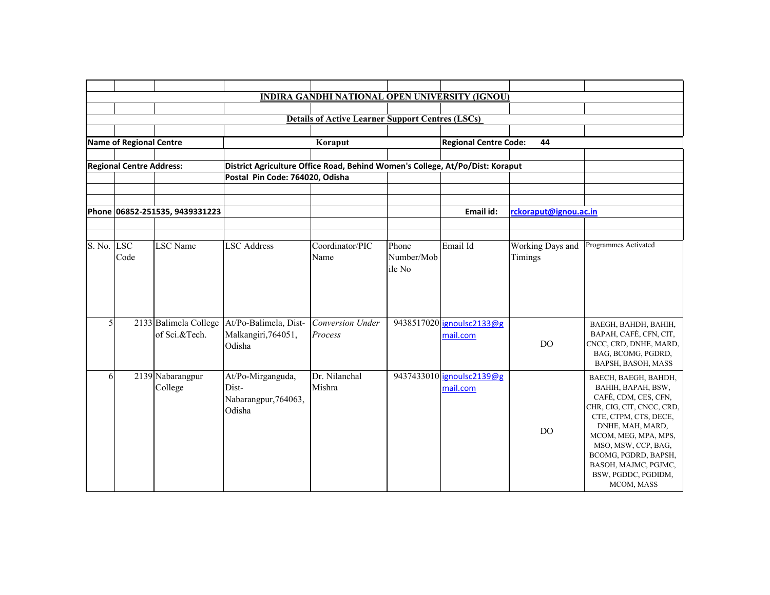|            |                                 |                                |                                                                               | <b>INDIRA GANDHI NATIONAL OPEN UNIVERSITY (IGNOU)</b>   |            |                              |                       |                                                   |  |  |
|------------|---------------------------------|--------------------------------|-------------------------------------------------------------------------------|---------------------------------------------------------|------------|------------------------------|-----------------------|---------------------------------------------------|--|--|
|            |                                 |                                |                                                                               |                                                         |            |                              |                       |                                                   |  |  |
|            |                                 |                                |                                                                               | <b>Details of Active Learner Support Centres (LSCs)</b> |            |                              |                       |                                                   |  |  |
|            |                                 |                                |                                                                               |                                                         |            |                              |                       |                                                   |  |  |
|            | Name of Regional Centre         |                                |                                                                               | Koraput                                                 |            | <b>Regional Centre Code:</b> | 44                    |                                                   |  |  |
|            |                                 |                                |                                                                               |                                                         |            |                              |                       |                                                   |  |  |
|            | <b>Regional Centre Address:</b> |                                | District Agriculture Office Road, Behind Women's College, At/Po/Dist: Koraput |                                                         |            |                              |                       |                                                   |  |  |
|            |                                 |                                | Postal Pin Code: 764020, Odisha                                               |                                                         |            |                              |                       |                                                   |  |  |
|            |                                 |                                |                                                                               |                                                         |            |                              |                       |                                                   |  |  |
|            |                                 |                                |                                                                               |                                                         |            |                              |                       |                                                   |  |  |
|            |                                 | Phone 06852-251535, 9439331223 |                                                                               |                                                         |            | Email id:                    | rckoraput@ignou.ac.in |                                                   |  |  |
|            |                                 |                                |                                                                               |                                                         |            |                              |                       |                                                   |  |  |
|            |                                 |                                |                                                                               |                                                         |            |                              |                       |                                                   |  |  |
| S. No. LSC |                                 | <b>LSC</b> Name                | <b>LSC</b> Address                                                            | Coordinator/PIC                                         | Phone      | Email Id                     | Working Days and      | Programmes Activated                              |  |  |
|            | Code                            |                                |                                                                               | Name                                                    | Number/Mob |                              | Timings               |                                                   |  |  |
|            |                                 |                                |                                                                               |                                                         | ile No     |                              |                       |                                                   |  |  |
|            |                                 |                                |                                                                               |                                                         |            |                              |                       |                                                   |  |  |
|            |                                 |                                |                                                                               |                                                         |            |                              |                       |                                                   |  |  |
|            |                                 |                                |                                                                               |                                                         |            |                              |                       |                                                   |  |  |
| 5          |                                 | 2133 Balimela College          | At/Po-Balimela, Dist-                                                         | Conversion Under                                        |            | 9438517020 ignoulsc2133@g    |                       | BAEGH, BAHDH, BAHIH,                              |  |  |
|            |                                 | of Sci.&Tech.                  | Malkangiri, 764051,                                                           | Process                                                 |            | mail.com                     |                       | BAPAH, CAFÉ, CFN, CIT,                            |  |  |
|            |                                 |                                | Odisha                                                                        |                                                         |            |                              | <b>DO</b>             | CNCC, CRD, DNHE, MARD,                            |  |  |
|            |                                 |                                |                                                                               |                                                         |            |                              |                       | BAG, BCOMG, PGDRD,                                |  |  |
|            |                                 |                                |                                                                               |                                                         |            |                              |                       | BAPSH, BASOH, MASS                                |  |  |
| 6          |                                 | 2139 Nabarangpur               | At/Po-Mirganguda,                                                             | Dr. Nilanchal                                           |            | 9437433010 jgnoulsc2139@g    |                       | BAECH, BAEGH, BAHDH,                              |  |  |
|            |                                 | College                        | Dist-                                                                         | Mishra                                                  |            | mail.com                     |                       | BAHIH, BAPAH, BSW,                                |  |  |
|            |                                 |                                | Nabarangpur, 764063,                                                          |                                                         |            |                              |                       | CAFÉ, CDM, CES, CFN,<br>CHR, CIG, CIT, CNCC, CRD, |  |  |
|            |                                 |                                | Odisha                                                                        |                                                         |            |                              |                       | CTE, CTPM, CTS, DECE,                             |  |  |
|            |                                 |                                |                                                                               |                                                         |            |                              |                       | DNHE, MAH, MARD,                                  |  |  |
|            |                                 |                                |                                                                               |                                                         |            |                              | D <sub>O</sub>        | MCOM, MEG, MPA, MPS,                              |  |  |
|            |                                 |                                |                                                                               |                                                         |            |                              |                       | MSO, MSW, CCP, BAG,                               |  |  |
|            |                                 |                                |                                                                               |                                                         |            |                              |                       | BCOMG, PGDRD, BAPSH,                              |  |  |
|            |                                 |                                |                                                                               |                                                         |            |                              |                       | BASOH, MAJMC, PGJMC,                              |  |  |
|            |                                 |                                |                                                                               |                                                         |            |                              |                       | BSW, PGDDC, PGDIDM,                               |  |  |
|            |                                 |                                |                                                                               |                                                         |            |                              |                       | MCOM, MASS                                        |  |  |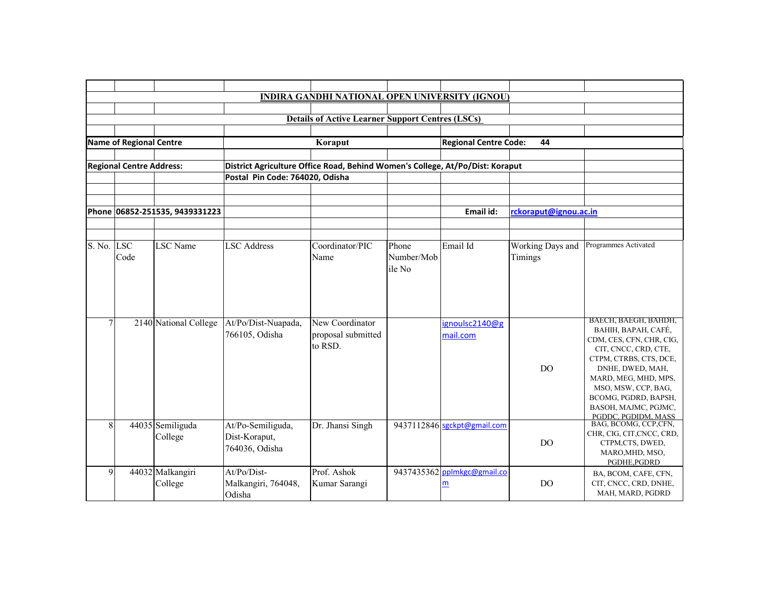|                |                                 |                                |                                                                               | <b>INDIRA GANDHI NATIONAL OPEN UNIVERSITY (IGNOU)</b>   |            |                              |                       |                                             |
|----------------|---------------------------------|--------------------------------|-------------------------------------------------------------------------------|---------------------------------------------------------|------------|------------------------------|-----------------------|---------------------------------------------|
|                |                                 |                                |                                                                               |                                                         |            |                              |                       |                                             |
|                |                                 |                                |                                                                               | <b>Details of Active Learner Support Centres (LSCs)</b> |            |                              |                       |                                             |
|                |                                 |                                |                                                                               |                                                         |            |                              |                       |                                             |
|                | Name of Regional Centre         |                                |                                                                               | Koraput                                                 |            | <b>Regional Centre Code:</b> | 44                    |                                             |
|                |                                 |                                |                                                                               |                                                         |            |                              |                       |                                             |
|                | <b>Regional Centre Address:</b> |                                | District Agriculture Office Road, Behind Women's College, At/Po/Dist: Koraput |                                                         |            |                              |                       |                                             |
|                |                                 |                                | Postal Pin Code: 764020, Odisha                                               |                                                         |            |                              |                       |                                             |
|                |                                 |                                |                                                                               |                                                         |            |                              |                       |                                             |
|                |                                 |                                |                                                                               |                                                         |            |                              |                       |                                             |
|                |                                 | Phone 06852-251535, 9439331223 |                                                                               |                                                         |            | Email id:                    | rckoraput@ignou.ac.in |                                             |
|                |                                 |                                |                                                                               |                                                         |            |                              |                       |                                             |
| S. No. LSC     |                                 | <b>LSC</b> Name                | <b>LSC</b> Address                                                            | Coordinator/PIC                                         | Phone      | Email Id                     | Working Days and      | Programmes Activated                        |
|                | Code                            |                                |                                                                               | Name                                                    | Number/Mob |                              | Timings               |                                             |
|                |                                 |                                |                                                                               |                                                         | ile No     |                              |                       |                                             |
|                |                                 |                                |                                                                               |                                                         |            |                              |                       |                                             |
|                |                                 |                                |                                                                               |                                                         |            |                              |                       |                                             |
|                |                                 |                                |                                                                               |                                                         |            |                              |                       |                                             |
|                |                                 |                                |                                                                               |                                                         |            |                              |                       | BAECH, BAEGH, BAHDH,                        |
| $\tau$         |                                 | 2140 National College          | At/Po/Dist-Nuapada,                                                           | New Coordinator                                         |            | ignoulsc2140@g               |                       | BAHIH, BAPAH, CAFÉ,                         |
|                |                                 |                                | 766105, Odisha                                                                | proposal submitted                                      |            | mail.com                     |                       | CDM, CES, CFN, CHR, CIG,                    |
|                |                                 |                                |                                                                               | to RSD.                                                 |            |                              |                       | CIT, CNCC, CRD, CTE,                        |
|                |                                 |                                |                                                                               |                                                         |            |                              | DO.                   | CTPM, CTRBS, CTS, DCE,<br>DNHE, DWED, MAH,  |
|                |                                 |                                |                                                                               |                                                         |            |                              |                       | MARD, MEG, MHD, MPS,                        |
|                |                                 |                                |                                                                               |                                                         |            |                              |                       | MSO, MSW, CCP, BAG,                         |
|                |                                 |                                |                                                                               |                                                         |            |                              |                       | BCOMG, PGDRD, BAPSH,                        |
|                |                                 |                                |                                                                               |                                                         |            |                              |                       | BASOH, MAJMC, PGJMC,                        |
| 8              |                                 | 44035 Semiliguda               | At/Po-Semiliguda,                                                             | Dr. Jhansi Singh                                        |            | 9437112846 sgckpt@gmail.com  |                       | PGDDC, PGDIDM, MASS<br>BAG, BCOMG, CCP,CFN, |
|                |                                 | College                        | Dist-Koraput,                                                                 |                                                         |            |                              |                       | CHR, CIG, CIT, CNCC, CRD,                   |
|                |                                 |                                | 764036, Odisha                                                                |                                                         |            |                              | <b>DO</b>             | CTPM,CTS, DWED,                             |
|                |                                 |                                |                                                                               |                                                         |            |                              |                       | MARO, MHD, MSO,<br>PGDHE, PGDRD             |
| $\overline{9}$ |                                 | 44032 Malkangiri               | At/Po/Dist-                                                                   | Prof. Ashok                                             |            | 9437435362 pplmkgc@gmail.co  |                       | BA, BCOM, CAFE, CFN,                        |
|                |                                 | College                        | Malkangiri, 764048,                                                           | Kumar Sarangi                                           |            | m                            | <b>DO</b>             | CIT, CNCC, CRD, DNHE,                       |
|                |                                 |                                | Odisha                                                                        |                                                         |            |                              |                       | MAH, MARD, PGDRD                            |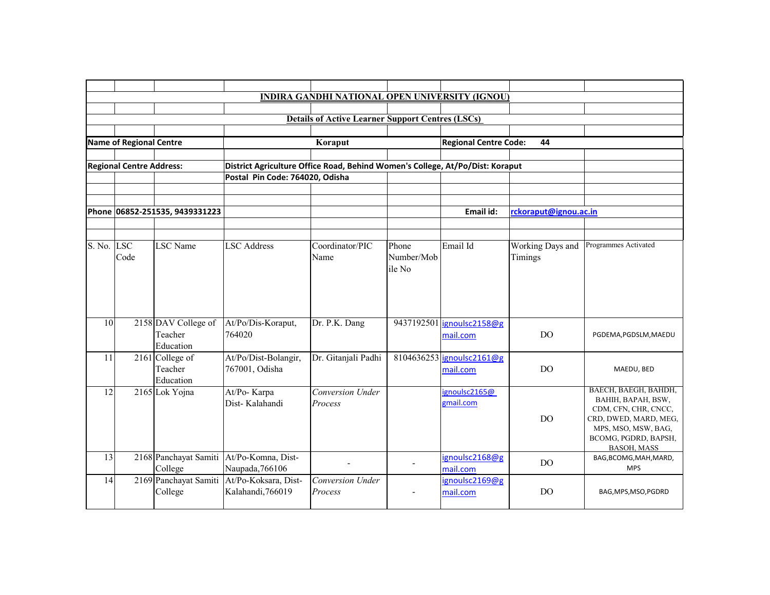|            |                                                                    |                                             |                                                                 | <b>Details of Active Learner Support Centres (LSCs)</b>                       |                     |                                       |                             |                                                                                                                                                                  |
|------------|--------------------------------------------------------------------|---------------------------------------------|-----------------------------------------------------------------|-------------------------------------------------------------------------------|---------------------|---------------------------------------|-----------------------------|------------------------------------------------------------------------------------------------------------------------------------------------------------------|
|            |                                                                    |                                             |                                                                 |                                                                               |                     |                                       |                             |                                                                                                                                                                  |
|            | <b>Name of Regional Centre</b>                                     |                                             |                                                                 | Koraput                                                                       |                     | <b>Regional Centre Code:</b>          | 44                          |                                                                                                                                                                  |
|            |                                                                    |                                             |                                                                 |                                                                               |                     |                                       |                             |                                                                                                                                                                  |
|            | <b>Regional Centre Address:</b><br>Postal Pin Code: 764020, Odisha |                                             |                                                                 | District Agriculture Office Road, Behind Women's College, At/Po/Dist: Koraput |                     |                                       |                             |                                                                                                                                                                  |
|            |                                                                    |                                             |                                                                 |                                                                               |                     |                                       |                             |                                                                                                                                                                  |
|            |                                                                    |                                             |                                                                 |                                                                               |                     |                                       |                             |                                                                                                                                                                  |
|            |                                                                    | Phone 06852-251535, 9439331223              |                                                                 |                                                                               |                     | Email id:                             | rckoraput@ignou.ac.in       |                                                                                                                                                                  |
| S. No. LSC | Code                                                               | <b>LSC</b> Name                             | <b>LSC Address</b>                                              | Coordinator/PIC<br>Name                                                       | Phone<br>Number/Mob | Email Id                              | Working Days and<br>Timings | Programmes Activated                                                                                                                                             |
|            |                                                                    |                                             |                                                                 |                                                                               | ile No              |                                       |                             |                                                                                                                                                                  |
| 10         |                                                                    | 2158 DAV College of<br>Teacher<br>Education | At/Po/Dis-Koraput,<br>764020                                    | Dr. P.K. Dang                                                                 |                     | 9437192501 ignoulsc2158@g<br>mail.com | DO                          | PGDEMA, PGDSLM, MAEDU                                                                                                                                            |
| 11         |                                                                    | 2161 College of<br>Teacher<br>Education     | At/Po/Dist-Bolangir,<br>767001, Odisha                          | Dr. Gitanjali Padhi                                                           |                     | 8104636253 ignoulsc2161@g<br>mail.com | DO                          | MAEDU, BED                                                                                                                                                       |
| 12         |                                                                    | 2165 Lok Yojna                              | At/Po-Karpa<br>Dist-Kalahandi                                   | <b>Conversion Under</b><br>Process                                            |                     | ignoulsc2165@<br>gmail.com            | DO.                         | BAECH, BAEGH, BAHDH,<br>BAHIH, BAPAH, BSW,<br>CDM, CFN, CHR, CNCC,<br>CRD, DWED, MARD, MEG,<br>MPS, MSO, MSW, BAG,<br>BCOMG, PGDRD, BAPSH,<br><b>BASOH, MASS</b> |
| 13         |                                                                    | College                                     | 2168 Panchayat Samiti At/Po-Komna, Dist-<br>Naupada, 766106     |                                                                               |                     | ignoulsc2168@g<br>mail.com            | DO.                         | BAG, BCOMG, MAH, MARD,<br><b>MPS</b>                                                                                                                             |
| 14         |                                                                    | College                                     | 2169 Panchayat Samiti At/Po-Koksara, Dist-<br>Kalahandi, 766019 | Conversion Under<br>Process                                                   | $\blacksquare$      | ignoulsc2169@g<br>mail.com            | DO.                         | BAG, MPS, MSO, PGDRD                                                                                                                                             |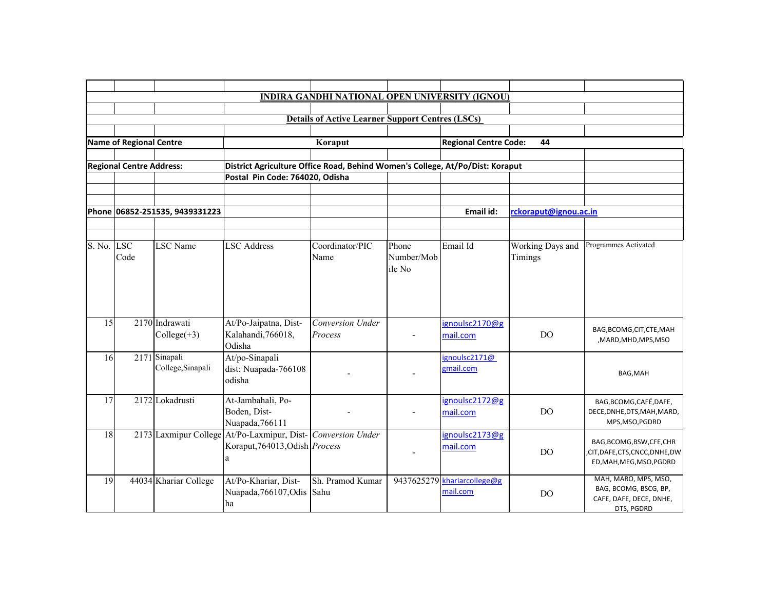|            |                                 |                                    |                                                                                                     | <b>INDIRA GANDHI NATIONAL OPEN UNIVERSITY (IGNOU)</b>   |                               |                              |                             |                                                                                          |
|------------|---------------------------------|------------------------------------|-----------------------------------------------------------------------------------------------------|---------------------------------------------------------|-------------------------------|------------------------------|-----------------------------|------------------------------------------------------------------------------------------|
|            |                                 |                                    |                                                                                                     |                                                         |                               |                              |                             |                                                                                          |
|            |                                 |                                    |                                                                                                     | <b>Details of Active Learner Support Centres (LSCs)</b> |                               |                              |                             |                                                                                          |
|            |                                 |                                    |                                                                                                     |                                                         |                               |                              |                             |                                                                                          |
|            | <b>Name of Regional Centre</b>  |                                    |                                                                                                     | Koraput                                                 |                               | <b>Regional Centre Code:</b> | 44                          |                                                                                          |
|            | <b>Regional Centre Address:</b> |                                    | District Agriculture Office Road, Behind Women's College, At/Po/Dist: Koraput                       |                                                         |                               |                              |                             |                                                                                          |
|            |                                 |                                    | Postal Pin Code: 764020, Odisha                                                                     |                                                         |                               |                              |                             |                                                                                          |
|            |                                 |                                    |                                                                                                     |                                                         |                               |                              |                             |                                                                                          |
|            |                                 |                                    |                                                                                                     |                                                         |                               |                              |                             |                                                                                          |
|            |                                 | Phone 06852-251535, 9439331223     |                                                                                                     |                                                         |                               | Email id:                    | rckoraput@ignou.ac.in       |                                                                                          |
|            |                                 |                                    |                                                                                                     |                                                         |                               |                              |                             |                                                                                          |
| S. No. LSC | Code                            | <b>LSC</b> Name                    | <b>LSC</b> Address                                                                                  | Coordinator/PIC<br>Name                                 | Phone<br>Number/Mob<br>ile No | Email Id                     | Working Days and<br>Timings | Programmes Activated                                                                     |
|            |                                 |                                    |                                                                                                     |                                                         |                               |                              |                             |                                                                                          |
| 15         |                                 | 2170 Indrawati<br>Collect(43)      | At/Po-Jaipatna, Dist-<br>Kalahandi, 766018,<br>Odisha                                               | Conversion Under<br>Process                             |                               | ignoulsc2170@g<br>mail.com   | <b>DO</b>                   | BAG, BCOMG, CIT, CTE, MAH<br>,MARD,MHD,MPS,MSO                                           |
| 16         |                                 | 2171 Sinapali<br>College, Sinapali | At/po-Sinapali<br>dist: Nuapada-766108<br>odisha                                                    |                                                         |                               | ignoulsc2171@<br>gmail.com   |                             | BAG, MAH                                                                                 |
| 17         |                                 | 2172 Lokadrusti                    | At-Jambahali, Po-<br>Boden, Dist-<br>Nuapada, 766111                                                |                                                         |                               | ignoulsc2172@g<br>mail.com   | <b>DO</b>                   | BAG, BCOMG, CAFÉ, DAFE,<br>DECE, DNHE, DTS, MAH, MARD,<br>MPS, MSO, PGDRD                |
| 18         |                                 |                                    | 2173 Laxmipur College At/Po-Laxmipur, Dist- Conversion Under<br>Koraput, 764013, Odish Process<br>a |                                                         |                               | ignoulsc2173@g<br>mail.com   | D <sub>O</sub>              | BAG, BCOMG, BSW, CFE, CHR<br>CIT, DAFE, CTS, CNCC, DNHE, DW,<br>ED, MAH, MEG, MSO, PGDRD |
| 19         |                                 | 44034 Khariar College              | At/Po-Khariar, Dist-<br>Nuapada, 766107, Odis<br>ha                                                 | Sh. Pramod Kumar<br>Sahu                                | 9437625279                    | khariarcollege@g<br>mail.com | D <sub>O</sub>              | MAH, MARO, MPS, MSO,<br>BAG, BCOMG, BSCG, BP,<br>CAFE, DAFE, DECE, DNHE,<br>DTS, PGDRD   |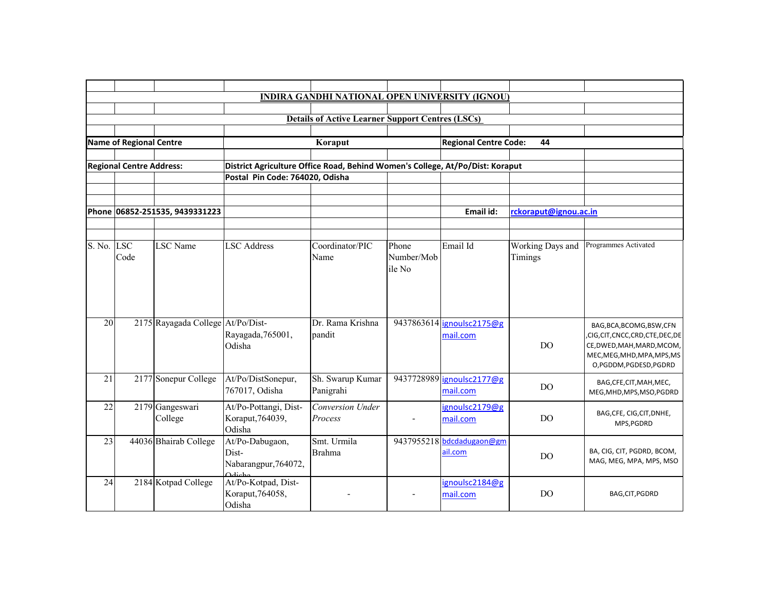|            |                                 |                                   |                                                                               | <b>INDIRA GANDHI NATIONAL OPEN UNIVERSITY (IGNOU)</b>   |                               |                                       |                             |                                                                                                                                                |
|------------|---------------------------------|-----------------------------------|-------------------------------------------------------------------------------|---------------------------------------------------------|-------------------------------|---------------------------------------|-----------------------------|------------------------------------------------------------------------------------------------------------------------------------------------|
|            |                                 |                                   |                                                                               |                                                         |                               |                                       |                             |                                                                                                                                                |
|            |                                 |                                   |                                                                               | <b>Details of Active Learner Support Centres (LSCs)</b> |                               |                                       |                             |                                                                                                                                                |
|            |                                 |                                   |                                                                               |                                                         |                               |                                       |                             |                                                                                                                                                |
|            | <b>Name of Regional Centre</b>  |                                   |                                                                               | Koraput                                                 |                               | <b>Regional Centre Code:</b>          | 44                          |                                                                                                                                                |
|            | <b>Regional Centre Address:</b> |                                   | District Agriculture Office Road, Behind Women's College, At/Po/Dist: Koraput |                                                         |                               |                                       |                             |                                                                                                                                                |
|            |                                 |                                   | Postal Pin Code: 764020, Odisha                                               |                                                         |                               |                                       |                             |                                                                                                                                                |
|            |                                 |                                   |                                                                               |                                                         |                               |                                       |                             |                                                                                                                                                |
|            |                                 |                                   |                                                                               |                                                         |                               |                                       |                             |                                                                                                                                                |
|            |                                 | Phone 06852-251535, 9439331223    |                                                                               |                                                         |                               | Email id:                             | rckoraput@ignou.ac.in       |                                                                                                                                                |
|            |                                 |                                   |                                                                               |                                                         |                               |                                       |                             |                                                                                                                                                |
| S. No. LSC | Code                            | <b>LSC</b> Name                   | <b>LSC</b> Address                                                            | Coordinator/PIC<br>Name                                 | Phone<br>Number/Mob<br>ile No | Email Id                              | Working Days and<br>Timings | Programmes Activated                                                                                                                           |
|            |                                 |                                   |                                                                               |                                                         |                               |                                       |                             |                                                                                                                                                |
| 20         |                                 | 2175 Rayagada College At/Po/Dist- | Rayagada, 765001,<br>Odisha                                                   | Dr. Rama Krishna<br>pandit                              |                               | 9437863614 ignoulsc2175@g<br>mail.com | D <sub>O</sub>              | BAG, BCA, BCOMG, BSW, CFN<br>,CIG,CIT,CNCC,CRD,CTE,DEC,DE<br>CE, DWED, MAH, MARD, MCOM,<br>MEC, MEG, MHD, MPA, MPS, MS<br>O,PGDDM,PGDESD,PGDRD |
| 21         |                                 | 2177 Sonepur College              | At/Po/DistSonepur,<br>767017, Odisha                                          | Sh. Swarup Kumar<br>Panigrahi                           |                               | 9437728989 ignoulsc2177@g<br>mail.com | <b>DO</b>                   | BAG, CFE, CIT, MAH, MEC,<br>MEG, MHD, MPS, MSO, PGDRD                                                                                          |
| 22         |                                 | 2179 Gangeswari<br>College        | At/Po-Pottangi, Dist-<br>Koraput, 764039,<br>Odisha                           | Conversion Under<br>Process                             |                               | ignoulsc2179@g<br>mail.com            | D <sub>O</sub>              | BAG, CFE, CIG, CIT, DNHE,<br>MPS, PGDRD                                                                                                        |
| 23         |                                 | 44036 Bhairab College             | At/Po-Dabugaon,<br>Dist-<br>Nabarangpur, 764072,<br>$\Delta$ dicha            | Smt. Urmila<br><b>Brahma</b>                            | 9437955218                    | bdcdadugaon@gm<br>ail.com             | DO.                         | BA, CIG, CIT, PGDRD, BCOM,<br>MAG, MEG, MPA, MPS, MSO                                                                                          |
| 24         |                                 | 2184 Kotpad College               | At/Po-Kotpad, Dist-<br>Koraput, 764058,<br>Odisha                             |                                                         |                               | ignoulsc2184@g<br>mail.com            | D <sub>O</sub>              | BAG, CIT, PGDRD                                                                                                                                |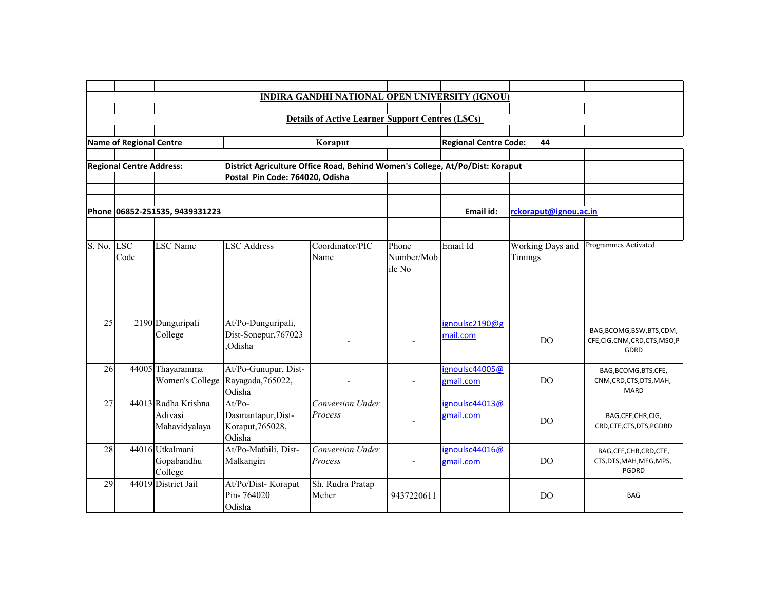|            |                                 |                                                 |                                                                               | <b>INDIRA GANDHI NATIONAL OPEN UNIVERSITY (IGNOU)</b>   |                               |                              |                             |                                                                 |
|------------|---------------------------------|-------------------------------------------------|-------------------------------------------------------------------------------|---------------------------------------------------------|-------------------------------|------------------------------|-----------------------------|-----------------------------------------------------------------|
|            |                                 |                                                 |                                                                               |                                                         |                               |                              |                             |                                                                 |
|            |                                 |                                                 |                                                                               | <b>Details of Active Learner Support Centres (LSCs)</b> |                               |                              |                             |                                                                 |
|            | <b>Name of Regional Centre</b>  |                                                 |                                                                               | Koraput                                                 |                               | <b>Regional Centre Code:</b> | 44                          |                                                                 |
|            |                                 |                                                 |                                                                               |                                                         |                               |                              |                             |                                                                 |
|            | <b>Regional Centre Address:</b> |                                                 | District Agriculture Office Road, Behind Women's College, At/Po/Dist: Koraput |                                                         |                               |                              |                             |                                                                 |
|            |                                 |                                                 | Postal Pin Code: 764020, Odisha                                               |                                                         |                               |                              |                             |                                                                 |
|            |                                 |                                                 |                                                                               |                                                         |                               |                              |                             |                                                                 |
|            |                                 | Phone 06852-251535, 9439331223                  |                                                                               |                                                         |                               | Email id:                    | rckoraput@ignou.ac.in       |                                                                 |
| S. No. LSC | Code                            | <b>LSC</b> Name                                 | <b>LSC Address</b>                                                            | Coordinator/PIC<br>Name                                 | Phone<br>Number/Mob<br>ile No | Email Id                     | Working Days and<br>Timings | Programmes Activated                                            |
|            |                                 |                                                 |                                                                               |                                                         |                               |                              |                             |                                                                 |
| 25         |                                 | 2190 Dunguripali<br>College                     | At/Po-Dunguripali,<br>Dist-Sonepur, 767023<br>Odisha                          |                                                         |                               | ignoulsc2190@g<br>mail.com   | D <sub>O</sub>              | BAG, BCOMG, BSW, BTS, CDM,<br>CFE,CIG,CNM,CRD,CTS,MSO,P<br>GDRD |
| 26         |                                 | 44005 Thayaramma<br>Women's College             | At/Po-Gunupur, Dist-<br>Rayagada, 765022,<br>Odisha                           |                                                         |                               | ignoulsc44005@<br>gmail.com  | D <sub>O</sub>              | BAG, BCOMG, BTS, CFE,<br>CNM, CRD, CTS, DTS, MAH,<br>MARD       |
| 27         |                                 | 44013 Radha Krishna<br>Adivasi<br>Mahavidyalaya | $At/Po-$<br>Dasmantapur, Dist-<br>Koraput, 765028,<br>Odisha                  | Conversion Under<br>Process                             |                               | ignoulsc44013@<br>gmail.com  | DO.                         | BAG, CFE, CHR, CIG,<br>CRD, CTE, CTS, DTS, PGDRD                |
| 28         |                                 | 44016 Utkalmani<br>Gopabandhu<br>College        | At/Po-Mathili, Dist-<br>Malkangiri                                            | Conversion Under<br>Process                             |                               | ignoulsc44016@<br>gmail.com  | <b>DO</b>                   | BAG, CFE, CHR, CRD, CTE,<br>CTS, DTS, MAH, MEG, MPS,<br>PGDRD   |
| 29         |                                 | 44019 District Jail                             | At/Po/Dist-Koraput<br>Pin-764020<br>Odisha                                    | Sh. Rudra Pratap<br>Meher                               | 9437220611                    |                              | D <sub>O</sub>              | <b>BAG</b>                                                      |